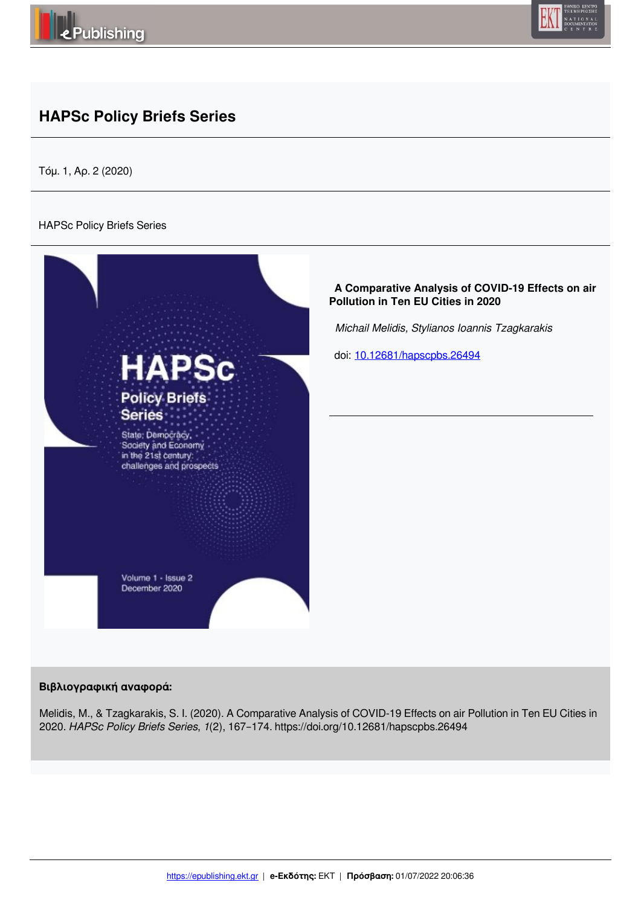



# **HAPSc Policy Briefs Series**

Τόμ. 1, Αρ. 2 (2020)

### HAPSc Policy Briefs Series



## **Βιβλιογραφική αναφορά:**

Melidis, M., & Tzagkarakis, S. I. (2020). A Comparative Analysis of COVID-19 Effects on air Pollution in Ten EU Cities in 2020. *HAPSc Policy Briefs Series*, *1*(2), 167–174. https://doi.org/10.12681/hapscpbs.26494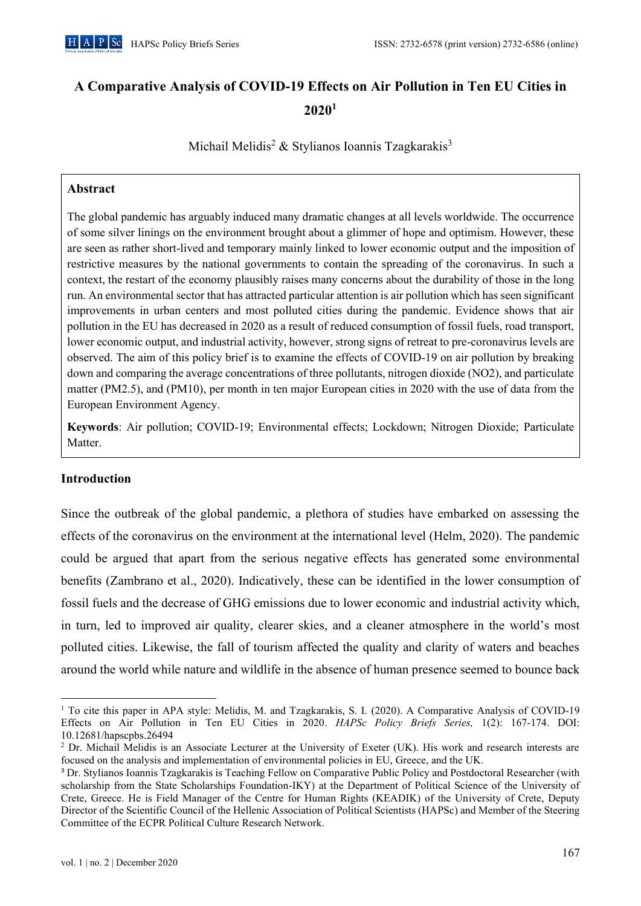# A Comparative Analysis of COVID-19 Effects on Air Pollution in Ten EU Cities in  $2020<sup>1</sup>$

Michail Melidis<sup>2</sup> & Stylianos Ioannis Tzagkarakis<sup>3</sup>

# **Abstract**

The global pandemic has arguably induced many dramatic changes at all levels worldwide. The occurrence of some silver linings on the environment brought about a glimmer of hope and optimism. However, these are seen as rather short-lived and temporary mainly linked to lower economic output and the imposition of restrictive measures by the national governments to contain the spreading of the coronavirus. In such a context, the restart of the economy plausibly raises many concerns about the durability of those in the long run. An environmental sector that has attracted particular attention is air pollution which has seen significant improvements in urban centers and most polluted cities during the pandemic. Evidence shows that air pollution in the EU has decreased in 2020 as a result of reduced consumption of fossil fuels, road transport, lower economic output, and industrial activity, however, strong signs of retreat to pre-coronavirus levels are observed. The aim of this policy brief is to examine the effects of COVID-19 on air pollution by breaking down and comparing the average concentrations of three pollutants, nitrogen dioxide (NO2), and particulate matter (PM2.5), and (PM10), per month in ten major European cities in 2020 with the use of data from the European Environment Agency.

Keywords: Air pollution; COVID-19; Environmental effects; Lockdown; Nitrogen Dioxide; Particulate Matter.

# **Introduction**

Since the outbreak of the global pandemic, a plethora of studies have embarked on assessing the effects of the coronavirus on the environment at the international level (Helm, 2020). The pandemic could be argued that apart from the serious negative effects has generated some environmental benefits (Zambrano et al., 2020). Indicatively, these can be identified in the lower consumption of fossil fuels and the decrease of GHG emissions due to lower economic and industrial activity which, in turn, led to improved air quality, clearer skies, and a cleaner atmosphere in the world's most polluted cities. Likewise, the fall of tourism affected the quality and clarity of waters and beaches around the world while nature and wildlife in the absence of human presence seemed to bounce back

<sup>&</sup>lt;sup>1</sup> To cite this paper in APA style: Melidis, M. and Tzagkarakis, S. I. (2020). A Comparative Analysis of COVID-19 Effects on Air Pollution in Ten EU Cities in 2020. HAPSc Policy Briefs Series, 1(2): 167-174. DOI: 10.12681/hapscpbs.26494

<sup>&</sup>lt;sup>2</sup> Dr. Michail Melidis is an Associate Lecturer at the University of Exeter (UK). His work and research interests are focused on the analysis and implementation of environmental policies in EU, Greece, and the UK.

<sup>&</sup>lt;sup>3</sup> Dr. Stylianos Ioannis Tzagkarakis is Teaching Fellow on Comparative Public Policy and Postdoctoral Researcher (with scholarship from the State Scholarships Foundation-IKY) at the Department of Political Science of the University of Crete, Greece. He is Field Manager of the Centre for Human Rights (KEADIK) of the University of Crete, Deputy Director of the Scientific Council of the Hellenic Association of Political Scientists (HAPSc) and Member of the Steering Committee of the ECPR Political Culture Research Network.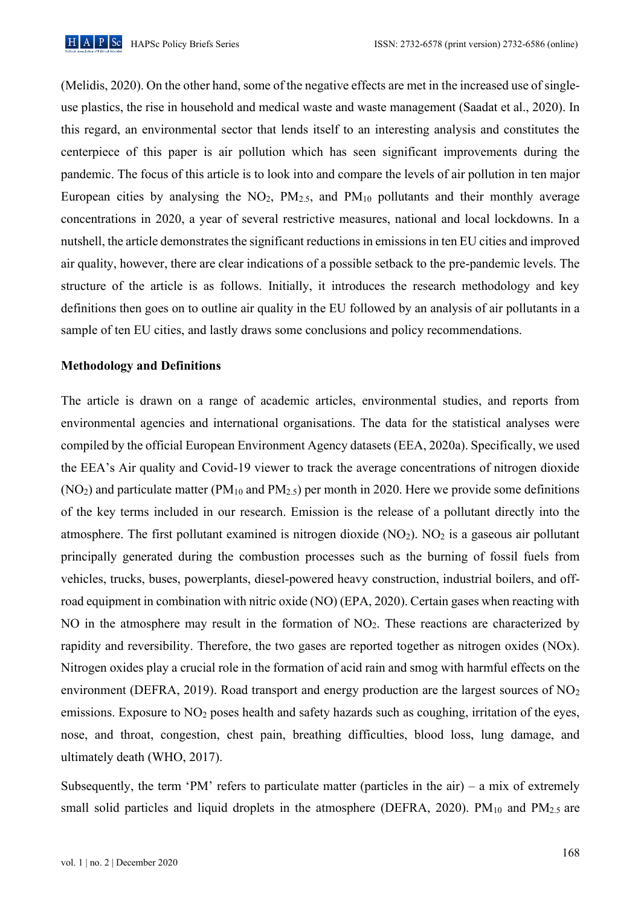

(Melidis, 2020). On the other hand, some of the negative effects are met in the increased use of singleuse plastics, the rise in household and medical waste and waste management (Saadat et al., 2020). In this regard, an environmental sector that lends itself to an interesting analysis and constitutes the centerpiece of this paper is air pollution which has seen significant improvements during the pandemic. The focus of this article is to look into and compare the levels of air pollution in ten major European cities by analysing the  $NO_2$ ,  $PM_{2.5}$ , and  $PM_{10}$  pollutants and their monthly average concentrations in 2020, a year of several restrictive measures, national and local lockdowns. In a nutshell, the article demonstrates the significant reductions in emissions in ten EU cities and improved air quality, however, there are clear indications of a possible setback to the pre-pandemic levels. The structure of the article is as follows. Initially, it introduces the research methodology and key definitions then goes on to outline air quality in the EU followed by an analysis of air pollutants in a sample of ten EU cities, and lastly draws some conclusions and policy recommendations.

#### **Methodology and Definitions**

The article is drawn on a range of academic articles, environmental studies, and reports from environmental agencies and international organisations. The data for the statistical analyses were compiled by the official European Environment Agency datasets (EEA, 2020a). Specifically, we used the EEA's Air quality and Covid-19 viewer to track the average concentrations of nitrogen dioxide  $(NO<sub>2</sub>)$  and particulate matter (PM<sub>10</sub> and PM<sub>2.5</sub>) per month in 2020. Here we provide some definitions of the key terms included in our research. Emission is the release of a pollutant directly into the atmosphere. The first pollutant examined is nitrogen dioxide  $(NO<sub>2</sub>)$ .  $NO<sub>2</sub>$  is a gaseous air pollutant principally generated during the combustion processes such as the burning of fossil fuels from vehicles, trucks, buses, powerplants, diesel-powered heavy construction, industrial boilers, and offroad equipment in combination with nitric oxide (NO) (EPA, 2020). Certain gases when reacting with NO in the atmosphere may result in the formation of  $NO<sub>2</sub>$ . These reactions are characterized by rapidity and reversibility. Therefore, the two gases are reported together as nitrogen oxides (NOx). Nitrogen oxides play a crucial role in the formation of acid rain and smog with harmful effects on the environment (DEFRA, 2019). Road transport and energy production are the largest sources of  $NO<sub>2</sub>$ emissions. Exposure to  $NO<sub>2</sub>$  poses health and safety hazards such as coughing, irritation of the eves. nose, and throat, congestion, chest pain, breathing difficulties, blood loss, lung damage, and ultimately death (WHO, 2017).

Subsequently, the term 'PM' refers to particulate matter (particles in the air) – a mix of extremely small solid particles and liquid droplets in the atmosphere (DEFRA, 2020). PM $_{10}$  and PM $_{2.5}$  are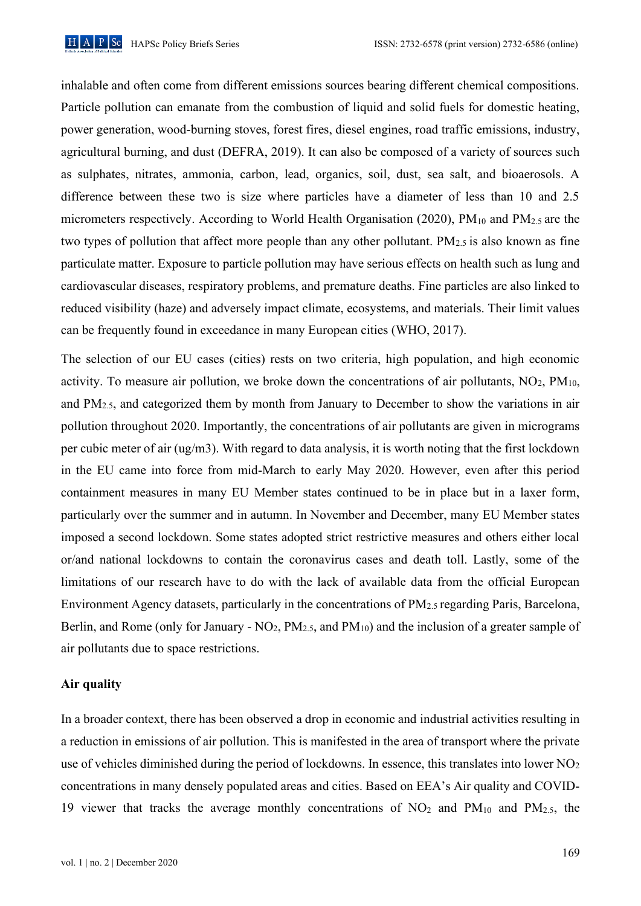

inhalable and often come from different emissions sources bearing different chemical compositions. Particle pollution can emanate from the combustion of liquid and solid fuels for domestic heating, power generation, wood-burning stoves, forest fires, diesel engines, road traffic emissions, industry, agricultural burning, and dust (DEFRA, 2019). It can also be composed of a variety of sources such as sulphates, nitrates, ammonia, carbon, lead, organics, soil, dust, sea salt, and bioaerosols. A difference between these two is size where particles have a diameter of less than 10 and 2.5 micrometers respectively. According to World Health Organisation (2020),  $PM_{10}$  and  $PM_{2.5}$  are the two types of pollution that affect more people than any other pollutant.  $PM_{2.5}$  is also known as fine particulate matter. Exposure to particle pollution may have serious effects on health such as lung and cardiovascular diseases, respiratory problems, and premature deaths. Fine particles are also linked to reduced visibility (haze) and adversely impact climate, ecosystems, and materials. Their limit values can be frequently found in exceedance in many European cities (WHO, 2017).

The selection of our EU cases (cities) rests on two criteria, high population, and high economic activity. To measure air pollution, we broke down the concentrations of air pollutants,  $NO<sub>2</sub>$ ,  $PM<sub>10</sub>$ , and  $PM_{2.5}$ , and categorized them by month from January to December to show the variations in air pollution throughout 2020. Importantly, the concentrations of air pollutants are given in micrograms per cubic meter of air (ug/m3). With regard to data analysis, it is worth noting that the first lockdown in the EU came into force from mid-March to early May 2020. However, even after this period containment measures in many EU Member states continued to be in place but in a laxer form, particularly over the summer and in autumn. In November and December, many EU Member states imposed a second lockdown. Some states adopted strict restrictive measures and others either local or/and national lockdowns to contain the coronavirus cases and death toll. Lastly, some of the limitations of our research have to do with the lack of available data from the official European Environment Agency datasets, particularly in the concentrations of PM<sub>2.5</sub> regarding Paris, Barcelona, Berlin, and Rome (only for January -  $NO<sub>2</sub>$ ,  $PM<sub>2.5</sub>$ , and  $PM<sub>10</sub>$ ) and the inclusion of a greater sample of air pollutants due to space restrictions.

#### Air quality

In a broader context, there has been observed a drop in economic and industrial activities resulting in a reduction in emissions of air pollution. This is manifested in the area of transport where the private use of vehicles diminished during the period of lockdowns. In essence, this translates into lower  $NO<sub>2</sub>$ concentrations in many densely populated areas and cities. Based on EEA's Air quality and COVID-19 viewer that tracks the average monthly concentrations of  $NO<sub>2</sub>$  and  $PM<sub>10</sub>$  and  $PM<sub>2.5</sub>$ , the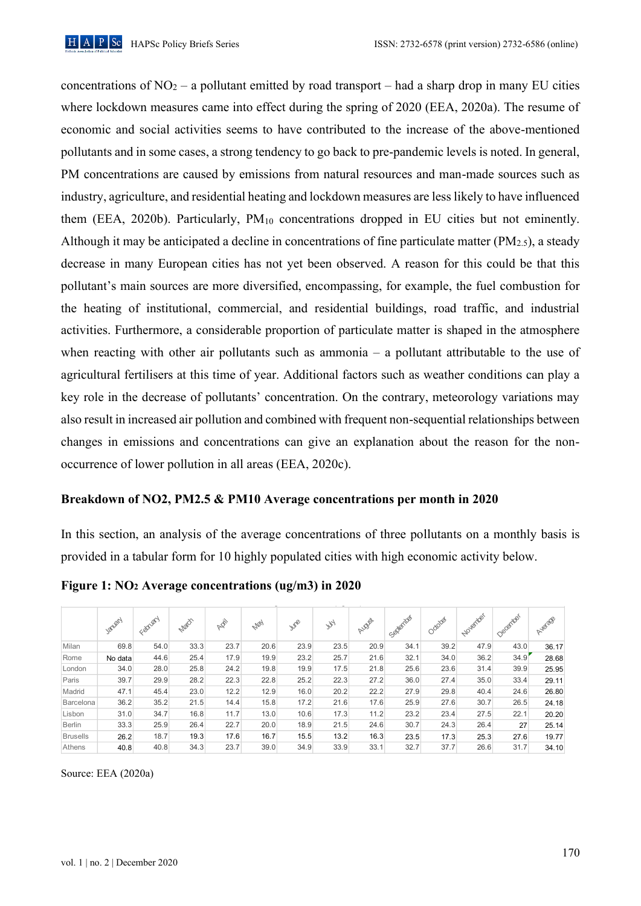

concentrations of  $NO<sub>2</sub> - a$  pollutant emitted by road transport – had a sharp drop in many EU cities where lockdown measures came into effect during the spring of 2020 (EEA, 2020a). The resume of economic and social activities seems to have contributed to the increase of the above-mentioned pollutants and in some cases, a strong tendency to go back to pre-pandemic levels is noted. In general, PM concentrations are caused by emissions from natural resources and man-made sources such as industry, agriculture, and residential heating and lockdown measures are less likely to have influenced them (EEA, 2020b). Particularly,  $PM_{10}$  concentrations dropped in EU cities but not eminently. Although it may be anticipated a decline in concentrations of fine particulate matter ( $PM_{2,5}$ ), a steady decrease in many European cities has not yet been observed. A reason for this could be that this pollutant's main sources are more diversified, encompassing, for example, the fuel combustion for the heating of institutional, commercial, and residential buildings, road traffic, and industrial activities. Furthermore, a considerable proportion of particulate matter is shaped in the atmosphere when reacting with other air pollutants such as ammonia  $-$  a pollutant attributable to the use of agricultural fertilisers at this time of year. Additional factors such as weather conditions can play a key role in the decrease of pollutants' concentration. On the contrary, meteorology variations may also result in increased air pollution and combined with frequent non-sequential relationships between changes in emissions and concentrations can give an explanation about the reason for the nonoccurrence of lower pollution in all areas (EEA, 2020c).

### Breakdown of NO2, PM2.5 & PM10 Average concentrations per month in 2020

In this section, an analysis of the average concentrations of three pollutants on a monthly basis is provided in a tabular form for 10 highly populated cities with high economic activity below.

|                 | Janety  | Fantay | Mach | <b>RE</b> | <b>May</b> | $v_{\text{tot}}$ | W    | ALBER | Sexember | October | November | December | Average |
|-----------------|---------|--------|------|-----------|------------|------------------|------|-------|----------|---------|----------|----------|---------|
| Milan           | 69.8    | 54.0   | 33.3 | 23.7      | 20.6       | 23.9             | 23.5 | 20.9  | 34.1     | 39.2    | 47.9     | 43.0     | 36.17   |
| Rome            | No data | 44.6   | 25.4 | 17.9      | 19.9       | 23.2             | 25.7 | 21.6  | 32.1     | 34.0    | 36.2     | 34.9     | 28.68   |
| London          | 34.0    | 28.0   | 25.8 | 24.2      | 19.8       | 19.9             | 17.5 | 21.8  | 25.6     | 23.6    | 31.4     | 39.9     | 25.95   |
| Paris           | 39.7    | 29.9   | 28.2 | 22.3      | 22.8       | 25.2             | 22.3 | 27.2  | 36.0     | 27.4    | 35.0     | 33.4     | 29.11   |
| Madrid          | 47.1    | 45.4   | 23.0 | 12.2      | 12.9       | 16.0             | 20.2 | 22.2  | 27.9     | 29.8    | 40.4     | 24.6     | 26.80   |
| Barcelona       | 36.2    | 35.2   | 21.5 | 14.4      | 15.8       | 17.2             | 21.6 | 17.6  | 25.9     | 27.6    | 30.7     | 26.5     | 24.18   |
| Lisbon          | 31.0    | 34.7   | 16.8 | 11.7      | 13.0       | 10.6             | 17.3 | 11.2  | 23.2     | 23.4    | 27.5     | 22.1     | 20.20   |
| <b>Berlin</b>   | 33.3    | 25.9   | 26.4 | 22.7      | 20.0       | 18.9             | 21.5 | 24.6  | 30.7     | 24.3    | 26.4     | 27       | 25.14   |
| <b>Brusells</b> | 26.2    | 18.7   | 19.3 | 17.6      | 16.7       | 15.5             | 13.2 | 16.3  | 23.5     | 17.3    | 25.3     | 27.6     | 19.77   |
| Athens          | 40.8    | 40.8   | 34.3 | 23.7      | 39.0       | 34.9             | 33.9 | 33.1  | 32.7     | 37.7    | 26.6     | 31.7     | 34.10   |

## Figure 1:  $NO<sub>2</sub> Average concentrations (ug/m3) in 2020$

Source: EEA (2020a)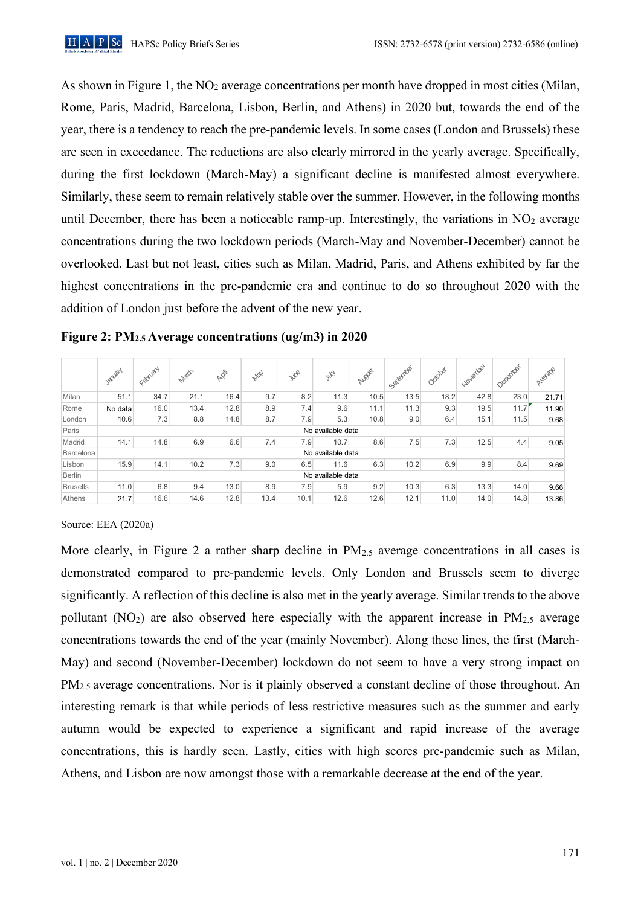As shown in Figure 1, the NO<sub>2</sub> average concentrations per month have dropped in most cities (Milan, Rome, Paris, Madrid, Barcelona, Lisbon, Berlin, and Athens) in 2020 but, towards the end of the year, there is a tendency to reach the pre-pandemic levels. In some cases (London and Brussels) these are seen in exceedance. The reductions are also clearly mirrored in the yearly average. Specifically, during the first lockdown (March-May) a significant decline is manifested almost everywhere. Similarly, these seem to remain relatively stable over the summer. However, in the following months until December, there has been a noticeable ramp-up. Interestingly, the variations in  $NO<sub>2</sub>$  average concentrations during the two lockdown periods (March-May and November-December) cannot be overlooked. Last but not least, cities such as Milan, Madrid, Paris, and Athens exhibited by far the highest concentrations in the pre-pandemic era and continue to do so throughout 2020 with the addition of London just before the advent of the new year.

|                 |                   |        |      |            |             |      |           | riviz.J Average concentration (ug/mJ) in 2020 |          |         |          |          |        |
|-----------------|-------------------|--------|------|------------|-------------|------|-----------|-----------------------------------------------|----------|---------|----------|----------|--------|
|                 | January           | Canyon | Nach | <b>REA</b> | <b>Next</b> | we   | <b>Ky</b> | August                                        | Sederate | October | November | December | AVEIRE |
| Milan           | 51.1              | 34.7   | 21.1 | 16.4       | 9.7         | 8.2  | 11.3      | 10.5                                          | 13.5     | 18.2    | 42.8     | 23.0     | 21.71  |
| Rome            | No data           | 16.0   | 13.4 | 12.8       | 8.9         | 7.4  | 9.6       | 11.1                                          | 11.3     | 9.3     | 19.5     | 11.7     | 11.90  |
| London          | 10.6              | 7.3    | 8.8  | 14.8       | 8.7         | 7.9  | 5.3       | 10.8                                          | 9.0      | 6.4     | 15.1     | 11.5     | 9.68   |
| Paris           | No available data |        |      |            |             |      |           |                                               |          |         |          |          |        |
| Madrid          | 14.1              | 14.8   | 6.9  | 6.6        | 7.4         | 7.9  | 10.7      | 8.6                                           | 7.5      | 7.3     | 12.5     | 4.4      | 9.05   |
| Barcelona       | No available data |        |      |            |             |      |           |                                               |          |         |          |          |        |
| Lisbon          | 15.9              | 14.1   | 10.2 | 7.3        | 9.0         | 6.5  | 11.6      | 6.3                                           | 10.2     | 6.9     | 9.9      | 8.4      | 9.69   |
| <b>Berlin</b>   | No available data |        |      |            |             |      |           |                                               |          |         |          |          |        |
| <b>Brusells</b> | 11.0              | 6.8    | 9.4  | 13.0       | 8.9         | 7.9  | 5.9       | 9.2                                           | 10.3     | 6.3     | 13.3     | 14.0     | 9.66   |
| Athens          | 21.7              | 16.6   | 14.6 | 12.8       | 13.4        | 10.1 | 12.6      | 12.6                                          | 12.1     | 11.0    | 14.0     | 14.8     | 13.86  |

#### Figure 2:  $PM_{2.5}$  Average concentrations (ug/m3) in 2020  $PM2 5 Average concentration (107/2) in 2020$

Source: EEA (2020a)

More clearly, in Figure 2 a rather sharp decline in  $PM_{2.5}$  average concentrations in all cases is demonstrated compared to pre-pandemic levels. Only London and Brussels seem to diverge significantly. A reflection of this decline is also met in the yearly average. Similar trends to the above pollutant ( $NO<sub>2</sub>$ ) are also observed here especially with the apparent increase in  $PM<sub>2.5</sub>$  average concentrations towards the end of the year (mainly November). Along these lines, the first (March-May) and second (November-December) lockdown do not seem to have a very strong impact on PM<sub>2.5</sub> average concentrations. Nor is it plainly observed a constant decline of those throughout. An interesting remark is that while periods of less restrictive measures such as the summer and early autumn would be expected to experience a significant and rapid increase of the average concentrations, this is hardly seen. Lastly, cities with high scores pre-pandemic such as Milan, Athens, and Lisbon are now amongst those with a remarkable decrease at the end of the year.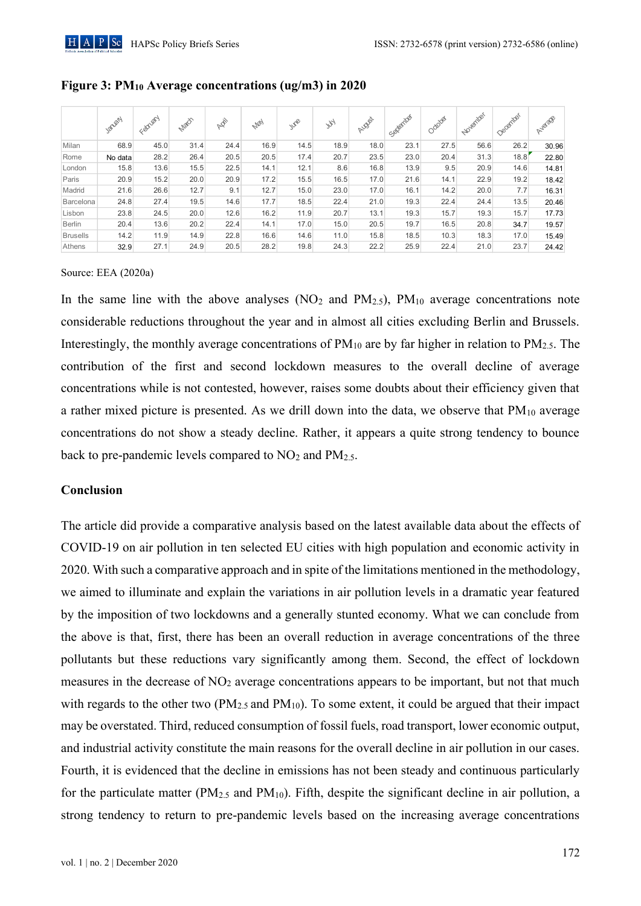|                 | Janen   | February | Natch | ARI  | <b>May</b> | WR   | $y_{\mathcal{H}}$ | AUDIO | Separates | October | November | December | Aviscos |
|-----------------|---------|----------|-------|------|------------|------|-------------------|-------|-----------|---------|----------|----------|---------|
| Milan           | 68.9    | 45.0     | 31.4  | 24.4 | 16.9       | 14.5 | 18.9              | 18.0  | 23.1      | 27.5    | 56.6     | 26.2     | 30.96   |
| Rome            | No data | 28.2     | 26.4  | 20.5 | 20.5       | 17.4 | 20.7              | 23.5  | 23.0      | 20.4    | 31.3     | 18.8     | 22.80   |
| London          | 15.8    | 13.6     | 15.5  | 22.5 | 14.1       | 12.1 | 8.6               | 16.8  | 13.9      | 9.5     | 20.9     | 14.6     | 14.81   |
| Paris           | 20.9    | 15.2     | 20.0  | 20.9 | 17.2       | 15.5 | 16.5              | 17.0  | 21.6      | 14.1    | 22.9     | 19.2     | 18.42   |
| Madrid          | 21.6    | 26.6     | 12.7  | 9.1  | 12.7       | 15.0 | 23.0              | 17.0  | 16.1      | 14.2    | 20.0     | 7.7      | 16.31   |
| Barcelona       | 24.8    | 27.4     | 19.5  | 14.6 | 17.7       | 18.5 | 22.4              | 21.0  | 19.3      | 22.4    | 24.4     | 13.5     | 20.46   |
| Lisbon          | 23.8    | 24.5     | 20.0  | 12.6 | 16.2       | 11.9 | 20.7              | 13.1  | 19.3      | 15.7    | 19.3     | 15.7     | 17.73   |
| <b>Berlin</b>   | 20.4    | 13.6     | 20.2  | 22.4 | 14.1       | 17.0 | 15.0              | 20.5  | 19.7      | 16.5    | 20.8     | 34.7     | 19.57   |
| <b>Brusells</b> | 14.2    | 11.9     | 14.9  | 22.8 | 16.6       | 14.6 | 11.0              | 15.8  | 18.5      | 10.3    | 18.3     | 17.0     | 15.49   |
| Athens          | 32.9    | 27.1     | 24.9  | 20.5 | 28.2       | 19.8 | 24.3              | 22.2  | 25.9      | 22.4    | 21.0     | 23.7     | 24.42   |

### Figure 3: PM<sub>10</sub> Average concentrations (ug/m3) in 2020

#### Source: EEA (2020a)

In the same line with the above analyses  $(NO<sub>2</sub>$  and  $PM<sub>2.5</sub>)$ ,  $PM<sub>10</sub>$  average concentrations note considerable reductions throughout the year and in almost all cities excluding Berlin and Brussels. Interestingly, the monthly average concentrations of  $PM_{10}$  are by far higher in relation to  $PM_{2.5}$ . The contribution of the first and second lockdown measures to the overall decline of average concentrations while is not contested, however, raises some doubts about their efficiency given that a rather mixed picture is presented. As we drill down into the data, we observe that  $PM_{10}$  average concentrations do not show a steady decline. Rather, it appears a quite strong tendency to bounce back to pre-pandemic levels compared to  $NO<sub>2</sub>$  and  $PM<sub>2.5</sub>$ .

## Conclusion

The article did provide a comparative analysis based on the latest available data about the effects of COVID-19 on air pollution in ten selected EU cities with high population and economic activity in 2020. With such a comparative approach and in spite of the limitations mentioned in the methodology, we aimed to illuminate and explain the variations in air pollution levels in a dramatic year featured by the imposition of two lockdowns and a generally stunted economy. What we can conclude from the above is that, first, there has been an overall reduction in average concentrations of the three pollutants but these reductions vary significantly among them. Second, the effect of lockdown measures in the decrease of NO<sub>2</sub> average concentrations appears to be important, but not that much with regards to the other two ( $PM_{2.5}$  and  $PM_{10}$ ). To some extent, it could be argued that their impact may be overstated. Third, reduced consumption of fossil fuels, road transport, lower economic output, and industrial activity constitute the main reasons for the overall decline in air pollution in our cases. Fourth, it is evidenced that the decline in emissions has not been steady and continuous particularly for the particulate matter ( $PM_{2.5}$  and  $PM_{10}$ ). Fifth, despite the significant decline in air pollution, a strong tendency to return to pre-pandemic levels based on the increasing average concentrations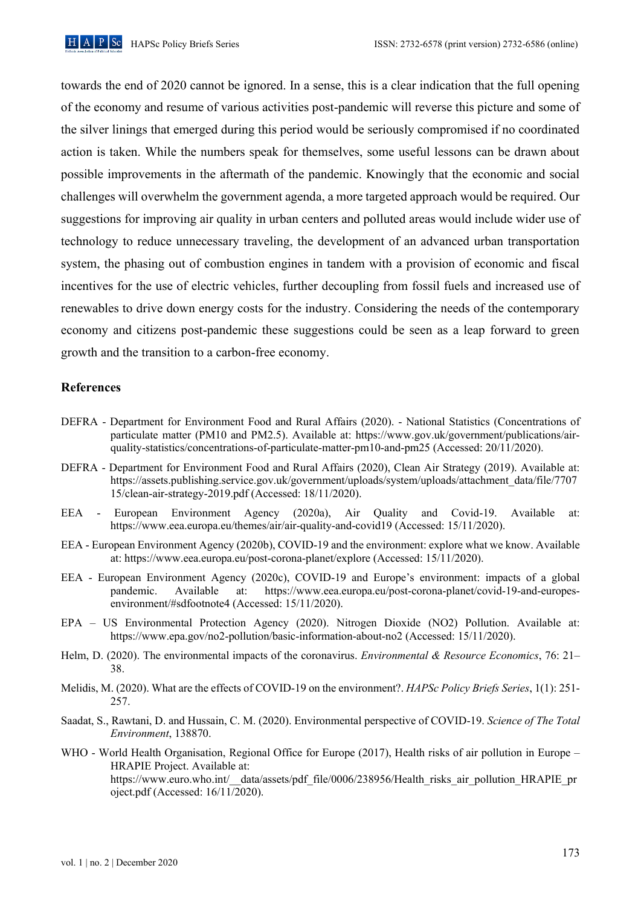

towards the end of 2020 cannot be ignored. In a sense, this is a clear indication that the full opening of the economy and resume of various activities post-pandemic will reverse this picture and some of the silver linings that emerged during this period would be seriously compromised if no coordinated action is taken. While the numbers speak for themselves, some useful lessons can be drawn about possible improvements in the aftermath of the pandemic. Knowingly that the economic and social challenges will overwhelm the government agenda, a more targeted approach would be required. Our suggestions for improving air quality in urban centers and polluted areas would include wider use of technology to reduce unnecessary traveling, the development of an advanced urban transportation system, the phasing out of combustion engines in tandem with a provision of economic and fiscal incentives for the use of electric vehicles, further decoupling from fossil fuels and increased use of renewables to drive down energy costs for the industry. Considering the needs of the contemporary economy and citizens post-pandemic these suggestions could be seen as a leap forward to green growth and the transition to a carbon-free economy.

#### **References**

- DEFRA Department for Environment Food and Rural Affairs (2020). National Statistics (Concentrations of particulate matter (PM10 and PM2.5). Available at: https://www.gov.uk/government/publications/airquality-statistics/concentrations-of-particulate-matter-pm10-and-pm25 (Accessed: 20/11/2020).
- DEFRA Department for Environment Food and Rural Affairs (2020), Clean Air Strategy (2019). Available at: https://assets.publishing.service.gov.uk/government/uploads/system/uploads/attachment\_data/file/7707 15/clean-air-strategy-2019.pdf (Accessed: 18/11/2020).
- EEA European Environment Agency (2020a), Air Quality and Covid-19. Available at: https://www.eea.europa.eu/themes/air/air-quality-and-covid19 (Accessed: 15/11/2020).
- EEA European Environment Agency (2020b), COVID-19 and the environment: explore what we know. Available at: https://www.eea.europa.eu/post-corona-planet/explore (Accessed: 15/11/2020).
- EEA European Environment Agency (2020c), COVID-19 and Europe's environment: impacts of a global https://www.eea.europa.eu/post-corona-planet/covid-19-and-europespandemic. Available at: environment/#sdfootnote4 (Accessed: 15/11/2020).
- EPA US Environmental Protection Agency (2020). Nitrogen Dioxide (NO2) Pollution. Available at: https://www.epa.gov/no2-pollution/basic-information-about-no2 (Accessed: 15/11/2020).
- Helm, D. (2020). The environmental impacts of the coronavirus. Environmental & Resource Economics, 76: 21– 38.
- Melidis, M. (2020). What are the effects of COVID-19 on the environment?. HAPSc Policy Briefs Series, 1(1): 251-257.
- Saadat, S., Rawtani, D. and Hussain, C. M. (2020). Environmental perspective of COVID-19. Science of The Total Environment, 138870.
- WHO World Health Organisation, Regional Office for Europe (2017), Health risks of air pollution in Europe HRAPIE Project. Available at: https://www.euro.who.int/ data/assets/pdf file/0006/238956/Health risks air pollution HRAPIE pr oject.pdf (Accessed:  $16/11/2020$ ).